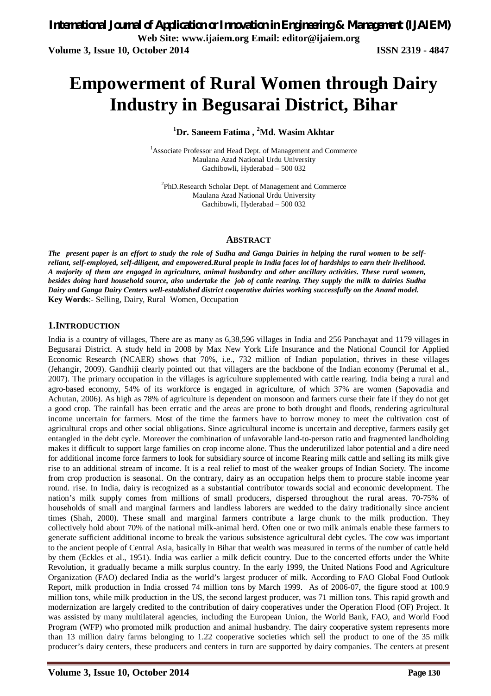# **Empowerment of Rural Women through Dairy Industry in Begusarai District, Bihar**

**<sup>1</sup>Dr. Saneem Fatima , <sup>2</sup>Md. Wasim Akhtar**

<sup>1</sup>Associate Professor and Head Dept. of Management and Commerce Maulana Azad National Urdu University Gachibowli, Hyderabad – 500 032

<sup>2</sup>PhD.Research Scholar Dept. of Management and Commerce Maulana Azad National Urdu University Gachibowli, Hyderabad – 500 032

#### **ABSTRACT**

*The present paper is an effort to study the role of Sudha and Ganga Dairies in helping the rural women to be selfreliant, self-employed, self-diligent, and empowered.Rural people in India faces lot of hardships to earn their livelihood. A majority of them are engaged in agriculture, animal husbandry and other ancillary activities. These rural women, besides doing hard household source, also undertake the job of cattle rearing. They supply the milk to dairies Sudha Dairy and Ganga Dairy Centers well-established district cooperative dairies working successfully on the Anand model.*  **Key Words**:- Selling, Dairy, Rural Women, Occupation

## **1.INTRODUCTION**

India is a country of villages, There are as many as 6,38,596 villages in India and 256 Panchayat and 1179 villages in Begusarai District. A study held in 2008 by Max New York Life Insurance and the National Council for Applied Economic Research (NCAER) shows that 70%, i.e., 732 million of Indian population, thrives in these villages (Jehangir, 2009). Gandhiji clearly pointed out that villagers are the backbone of the Indian economy (Perumal et al., 2007). The primary occupation in the villages is agriculture supplemented with cattle rearing. India being a rural and agro-based economy, 54% of its workforce is engaged in agriculture, of which 37% are women (Sapovadia and Achutan, 2006). As high as 78% of agriculture is dependent on monsoon and farmers curse their fate if they do not get a good crop. The rainfall has been erratic and the areas are prone to both drought and floods, rendering agricultural income uncertain for farmers. Most of the time the farmers have to borrow money to meet the cultivation cost of agricultural crops and other social obligations. Since agricultural income is uncertain and deceptive, farmers easily get entangled in the debt cycle. Moreover the combination of unfavorable land-to-person ratio and fragmented landholding makes it difficult to support large families on crop income alone. Thus the underutilized labor potential and a dire need for additional income force farmers to look for subsidiary source of income Rearing milk cattle and selling its milk give rise to an additional stream of income. It is a real relief to most of the weaker groups of Indian Society. The income from crop production is seasonal. On the contrary, dairy as an occupation helps them to procure stable income year round. rise. In India, dairy is recognized as a substantial contributor towards social and economic development. The nation's milk supply comes from millions of small producers, dispersed throughout the rural areas. 70-75% of households of small and marginal farmers and landless laborers are wedded to the dairy traditionally since ancient times (Shah, 2000). These small and marginal farmers contribute a large chunk to the milk production. They collectively hold about 70% of the national milk-animal herd. Often one or two milk animals enable these farmers to generate sufficient additional income to break the various subsistence agricultural debt cycles. The cow was important to the ancient people of Central Asia, basically in Bihar that wealth was measured in terms of the number of cattle held by them (Eckles et al., 1951). India was earlier a milk deficit country. Due to the concerted efforts under the White Revolution, it gradually became a milk surplus country. In the early 1999, the United Nations Food and Agriculture Organization (FAO) declared India as the world's largest producer of milk. According to FAO Global Food Outlook Report, milk production in India crossed 74 million tons by March 1999. As of 2006-07, the figure stood at 100.9 million tons, while milk production in the US, the second largest producer, was 71 million tons. This rapid growth and modernization are largely credited to the contribution of dairy cooperatives under the Operation Flood (OF) Project. It was assisted by many multilateral agencies, including the European Union, the World Bank, FAO, and World Food Program (WFP) who promoted milk production and animal husbandry. The dairy cooperative system represents more than 13 million dairy farms belonging to 1.22 cooperative societies which sell the product to one of the 35 milk producer's dairy centers, these producers and centers in turn are supported by dairy companies. The centers at present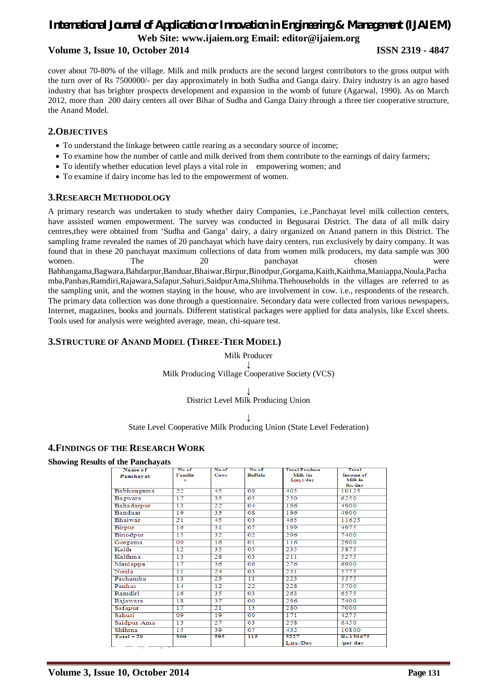## *International Journal of Application or Innovation in Engineering & Management (IJAIEM)* **Web Site: www.ijaiem.org Email: editor@ijaiem.org Volume 3, Issue 10, October 2014 ISSN 2319 - 4847**

cover about 70-80% of the village. Milk and milk products are the second largest contributors to the gross output with the turn over of Rs 7500000/- per day approximately in both Sudha and Ganga dairy. Dairy industry is an agro based industry that has brighter prospects development and expansion in the womb of future (Agarwal, 1990). As on March 2012, more than 200 dairy centers all over Bihar of Sudha and Ganga Dairy through a three tier cooperative structure, the Anand Model.

#### **2.OBJECTIVES**

- To understand the linkage between cattle rearing as a secondary source of income;
- To examine how the number of cattle and milk derived from them contribute to the earnings of dairy farmers;
- To identify whether education level plays a vital role in empowering women; and
- To examine if dairy income has led to the empowerment of women.

## **3.RESEARCH METHODOLOGY**

A primary research was undertaken to study whether dairy Companies, i.e.,Panchayat level milk collection centers, have assisted women empowerment. The survey was conducted in Begusarai District. The data of all milk dairy centres,they were obtained from 'Sudha and Ganga' dairy, a dairy organized on Anand pattern in this District. The sampling frame revealed the names of 20 panchayat which have dairy centers, run exclusively by dairy company. It was found that in these 20 panchayat maximum collections of data from women milk producers, my data sample was 300 women. The 20 panchayat chosen were Babhangama,Bagwara,Bahdarpur,Banduar,Bhaiwar,Birpur,Binodpur,Gorgama,Kaith,Kaithma,Maniappa,Noula,Pacha mba,Panhas,Ramdiri,Rajawara,Safapur,Sahuri,SaidpurAma,Shihma.Thehouseholds in the villages are referred to as the sampling unit, and the women staying in the house, who are involvement in cow. i.e., respondents of the research. The primary data collection was done through a questionnaire. Secondary data were collected from various newspapers, Internet, magazines, books and journals. Different statistical packages were applied for data analysis, like Excel sheets. Tools used for analysis were weighted average, mean, chi-square test.

### **3.STRUCTURE OF ANAND MODEL (THREE-TIER MODEL)**

Milk Producer **↓** Milk Producing Village Cooperative Society (VCS)

> **↓** District Level Milk Producing Union

> > **↓**

State Level Cooperative Milk Producing Union (State Level Federation)

#### **4.FINDINGS OF THE RESEARCH WORK**

**Showing Results of the Panchayats**

| Name of<br>Panchayat | No of<br>Familie<br>s | No of<br>Cows   | No of<br><b>Buffalo</b> | <b>Total Produce</b><br>Milk (in<br>Ltrs.)/day | Total<br>Income of<br>Milk in<br>Rs./day |
|----------------------|-----------------------|-----------------|-------------------------|------------------------------------------------|------------------------------------------|
| Babhangama           | 22                    | 45              | 09                      | 405                                            | 10125                                    |
| Bagwara              | 17                    | 35              | 05                      | 250                                            | 6250                                     |
| Bahadarpur           | 13                    | 22              | 04                      | 196                                            | 4900                                     |
| Banduar              | 19                    | 33              | 08                      | 196                                            | 4900                                     |
| Bhaiwar              | 21                    | 45              | 03                      | 465                                            | 11625                                    |
| Birpur               | 16                    | 31              | 07                      | 199                                            | 4975                                     |
| Binodpur             | 15                    | 32              | 02                      | 296                                            | 7400                                     |
| Gorgama              | 09                    | $\overline{16}$ | $\overline{01}$         | 116                                            | 2900                                     |
| Kaith                | $\overline{12}$       | 35              | 05                      | 235                                            | 5875                                     |
| Kaithma              | 13                    | 28              | 03                      | 211                                            | 5275                                     |
| Maniappa             | 17                    | 36              | 06                      | 276                                            | 6900                                     |
| Noula                | 11                    | 24              | 03                      | 231                                            | 5775                                     |
| Pachamba             | 13                    | 23              | 11                      | 223                                            | 5575                                     |
| Panhas               | 14                    | 12              | 22                      | 228                                            | 5700                                     |
| Ramdiri              | 16                    | 35              | 03                      | 263                                            | 6575                                     |
| Rajawara             | 18                    | $\overline{37}$ | 00                      | 296                                            | 7400                                     |
| Safapur              | 17                    | 21              | 13                      | 280                                            | 7000                                     |
| Sahuri               | 09                    | 19              | 00                      | 171                                            | 4275                                     |
| Saidpur Ama          | 13                    | 27              | 03                      | 258                                            | 6450                                     |
| Shihma               | 15                    | 39              | 07                      | 432                                            | 10800                                    |
| $Total = 20$         | 300                   | 595             | $\overline{115}$        | 5227                                           | Rs.130675                                |
|                      |                       |                 |                         | Ltrs./Dav                                      | /per day                                 |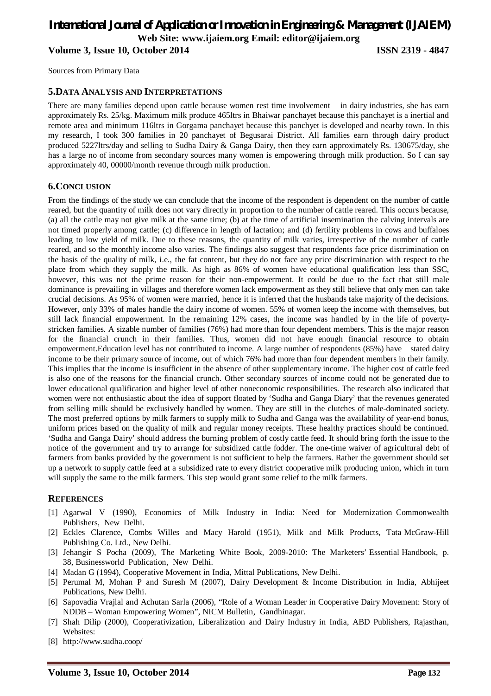## *International Journal of Application or Innovation in Engineering & Management (IJAIEM)* **Web Site: www.ijaiem.org Email: editor@ijaiem.org Volume 3, Issue 10, October 2014 ISSN 2319 - 4847**

Sources from Primary Data

#### **5.DATA ANALYSIS AND INTERPRETATIONS**

There are many families depend upon cattle because women rest time involvement in dairy industries, she has earn approximately Rs. 25/kg. Maximum milk produce 465ltrs in Bhaiwar panchayet because this panchayet is a inertial and remote area and minimum 116ltrs in Gorgama panchayet because this panchyet is developed and nearby town. In this my research, I took 300 families in 20 panchayet of Begusarai District. All families earn through dairy product produced 5227ltrs/day and selling to Sudha Dairy & Ganga Dairy, then they earn approximately Rs. 130675/day, she has a large no of income from secondary sources many women is empowering through milk production. So I can say approximately 40, 00000/month revenue through milk production.

#### **6.CONCLUSION**

From the findings of the study we can conclude that the income of the respondent is dependent on the number of cattle reared, but the quantity of milk does not vary directly in proportion to the number of cattle reared. This occurs because, (a) all the cattle may not give milk at the same time; (b) at the time of artificial insemination the calving intervals are not timed properly among cattle; (c) difference in length of lactation; and (d) fertility problems in cows and buffaloes leading to low yield of milk. Due to these reasons, the quantity of milk varies, irrespective of the number of cattle reared, and so the monthly income also varies. The findings also suggest that respondents face price discrimination on the basis of the quality of milk, i.e., the fat content, but they do not face any price discrimination with respect to the place from which they supply the milk. As high as 86% of women have educational qualification less than SSC, however, this was not the prime reason for their non-empowerment. It could be due to the fact that still male dominance is prevailing in villages and therefore women lack empowerment as they still believe that only men can take crucial decisions. As 95% of women were married, hence it is inferred that the husbands take majority of the decisions. However, only 33% of males handle the dairy income of women. 55% of women keep the income with themselves, but still lack financial empowerment. In the remaining 12% cases, the income was handled by in the life of povertystricken families. A sizable number of families (76%) had more than four dependent members. This is the major reason for the financial crunch in their families. Thus, women did not have enough financial resource to obtain empowerment.Education level has not contributed to income. A large number of respondents (85%) have stated dairy income to be their primary source of income, out of which 76% had more than four dependent members in their family. This implies that the income is insufficient in the absence of other supplementary income. The higher cost of cattle feed is also one of the reasons for the financial crunch. Other secondary sources of income could not be generated due to lower educational qualification and higher level of other noneconomic responsibilities. The research also indicated that women were not enthusiastic about the idea of support floated by 'Sudha and Ganga Diary' that the revenues generated from selling milk should be exclusively handled by women. They are still in the clutches of male-dominated society. The most preferred options by milk farmers to supply milk to Sudha and Ganga was the availability of year-end bonus, uniform prices based on the quality of milk and regular money receipts. These healthy practices should be continued. 'Sudha and Ganga Dairy' should address the burning problem of costly cattle feed. It should bring forth the issue to the notice of the government and try to arrange for subsidized cattle fodder. The one-time waiver of agricultural debt of farmers from banks provided by the government is not sufficient to help the farmers. Rather the government should set up a network to supply cattle feed at a subsidized rate to every district cooperative milk producing union, which in turn will supply the same to the milk farmers. This step would grant some relief to the milk farmers.

#### **REFERENCES**

- [1] Agarwal V (1990), Economics of Milk Industry in India: Need for Modernization Commonwealth Publishers, New Delhi.
- [2] Eckles Clarence, Combs Willes and Macy Harold (1951), Milk and Milk Products, Tata McGraw-Hill Publishing Co. Ltd., New Delhi.
- [3] Jehangir S Pocha (2009), The Marketing White Book, 2009-2010: The Marketers' Essential Handbook, p. 38, Businessworld Publication, New Delhi.
- [4] Madan G (1994), Cooperative Movement in India, Mittal Publications, New Delhi.
- [5] Perumal M, Mohan P and Suresh M (2007), Dairy Development & Income Distribution in India, Abhijeet Publications, New Delhi.
- [6] Sapovadia Vrajlal and Achutan Sarla (2006), "Role of a Woman Leader in Cooperative Dairy Movement: Story of NDDB – Woman Empowering Women", NICM Bulletin, Gandhinagar.
- [7] Shah Dilip (2000), Cooperativization, Liberalization and Dairy Industry in India, ABD Publishers, Rajasthan, Websites:
- [8] http://www.sudha.coop/